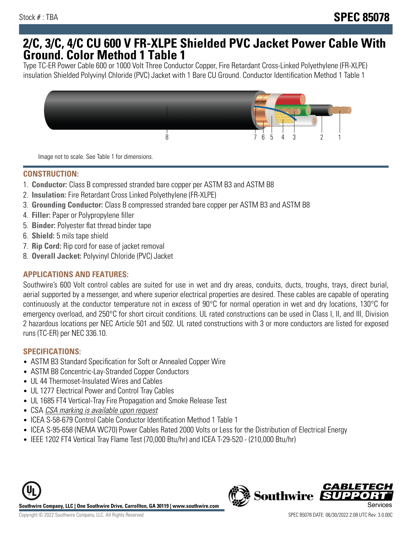## **2/C, 3/C, 4/C CU 600 V FR-XLPE Shielded PVC Jacket Power Cable With Ground. Color Method 1 Table 1**

Type TC-ER Power Cable 600 or 1000 Volt Three Conductor Copper, Fire Retardant Cross-Linked Polyethylene (FR-XLPE) insulation Shielded Polyvinyl Chloride (PVC) Jacket with 1 Bare CU Ground. Conductor Identification Method 1 Table 1



Image not to scale. See Table 1 for dimensions.

#### **CONSTRUCTION:**

- 1. **Conductor:** Class B compressed stranded bare copper per ASTM B3 and ASTM B8
- 2. **Insulation:** Fire Retardant Cross Linked Polyethylene (FR-XLPE)
- 3. **Grounding Conductor:** Class B compressed stranded bare copper per ASTM B3 and ASTM B8
- 4. **Filler:** Paper or Polypropylene filler
- 5. **Binder:** Polyester flat thread binder tape
- 6. **Shield:** 5 mils tape shield
- 7. **Rip Cord:** Rip cord for ease of jacket removal
- 8. **Overall Jacket:** Polyvinyl Chloride (PVC) Jacket

### **APPLICATIONS AND FEATURES:**

Southwire's 600 Volt control cables are suited for use in wet and dry areas, conduits, ducts, troughs, trays, direct burial, aerial supported by a messenger, and where superior electrical properties are desired. These cables are capable of operating continuously at the conductor temperature not in excess of 90°C for normal operation in wet and dry locations, 130°C for emergency overload, and 250°C for short circuit conditions. UL rated constructions can be used in Class I, II, and III, Division 2 hazardous locations per NEC Article 501 and 502. UL rated constructions with 3 or more conductors are listed for exposed runs (TC-ER) per NEC 336.10.

#### **SPECIFICATIONS:**

- ASTM B3 Standard Specification for Soft or Annealed Copper Wire
- ASTM B8 Concentric-Lay-Stranded Copper Conductors
- UL 44 Thermoset-Insulated Wires and Cables
- UL 1277 Electrical Power and Control Tray Cables
- UL 1685 FT4 Vertical-Tray Fire Propagation and Smoke Release Test
- CSA CSA marking is available upon request
- ICEA S-58-679 Control Cable Conductor Identification Method 1 Table 1
- ICEA S-95-658 (NEMA WC70) Power Cables Rated 2000 Volts or Less for the Distribution of Electrical Energy
- IEEE 1202 FT4 Vertical Tray Flame Test (70,000 Btu/hr) and ICEA T-29-520 (210,000 Btu/hr)



*CABLET*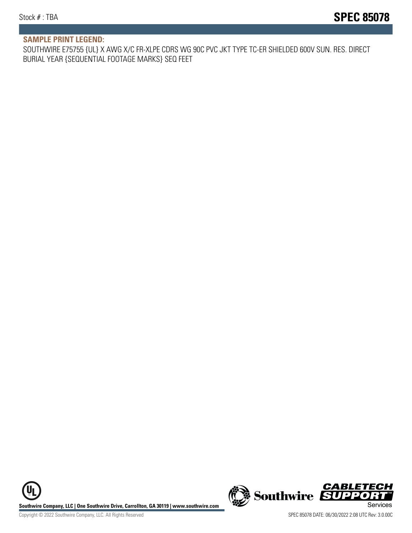#### **SAMPLE PRINT LEGEND:**

SOUTHWIRE E75755 {UL} X AWG X/C FR-XLPE CDRS WG 90C PVC JKT TYPE TC-ER SHIELDED 600V SUN. RES. DIRECT BURIAL YEAR {SEQUENTIAL FOOTAGE MARKS} SEQ FEET

UL **Southwire Company, LLC | One Southwire Drive, Carrollton, GA 30119 | www.southwire.com (New Southwire SUPPORTI**